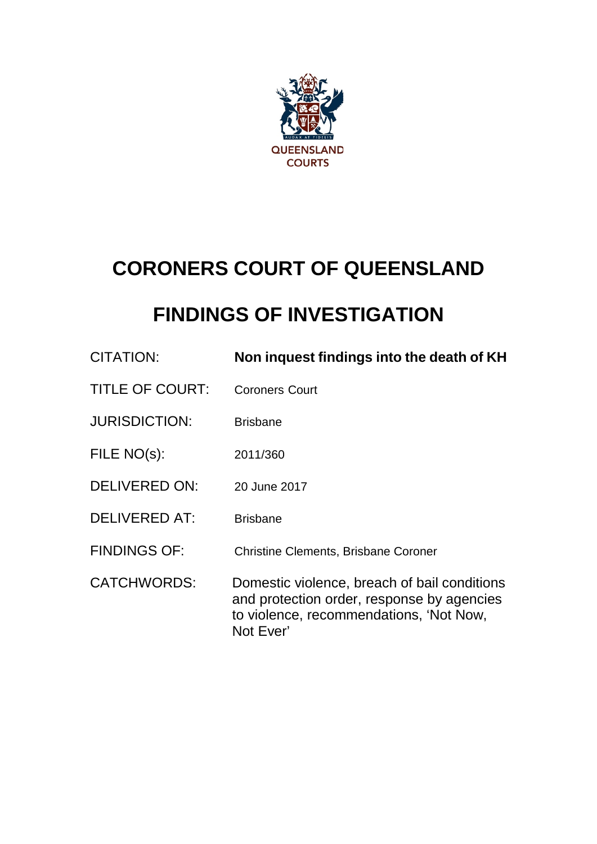

# **CORONERS COURT OF QUEENSLAND**

# **FINDINGS OF INVESTIGATION**

| CITATION:              | Non inquest findings into the death of KH                                                                                                          |
|------------------------|----------------------------------------------------------------------------------------------------------------------------------------------------|
| <b>TITLE OF COURT:</b> | <b>Coroners Court</b>                                                                                                                              |
| <b>JURISDICTION:</b>   | <b>Brisbane</b>                                                                                                                                    |
| FILE NO(s):            | 2011/360                                                                                                                                           |
| <b>DELIVERED ON:</b>   | 20 June 2017                                                                                                                                       |
| <b>DELIVERED AT:</b>   | <b>Brisbane</b>                                                                                                                                    |
| <b>FINDINGS OF:</b>    | <b>Christine Clements, Brisbane Coroner</b>                                                                                                        |
| <b>CATCHWORDS:</b>     | Domestic violence, breach of bail conditions<br>and protection order, response by agencies<br>to violence, recommendations, 'Not Now,<br>Not Ever' |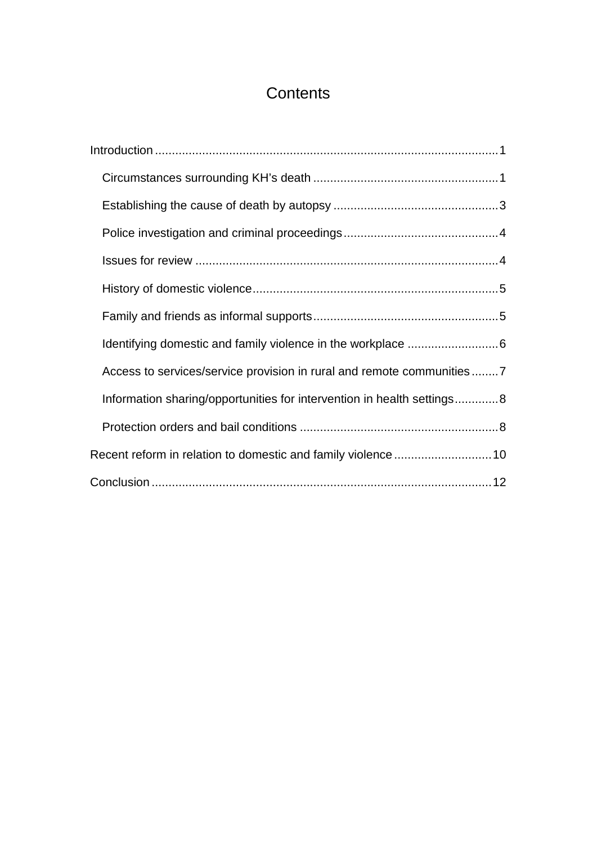# **Contents**

| Access to services/service provision in rural and remote communities7  |
|------------------------------------------------------------------------|
| Information sharing/opportunities for intervention in health settings8 |
|                                                                        |
|                                                                        |
|                                                                        |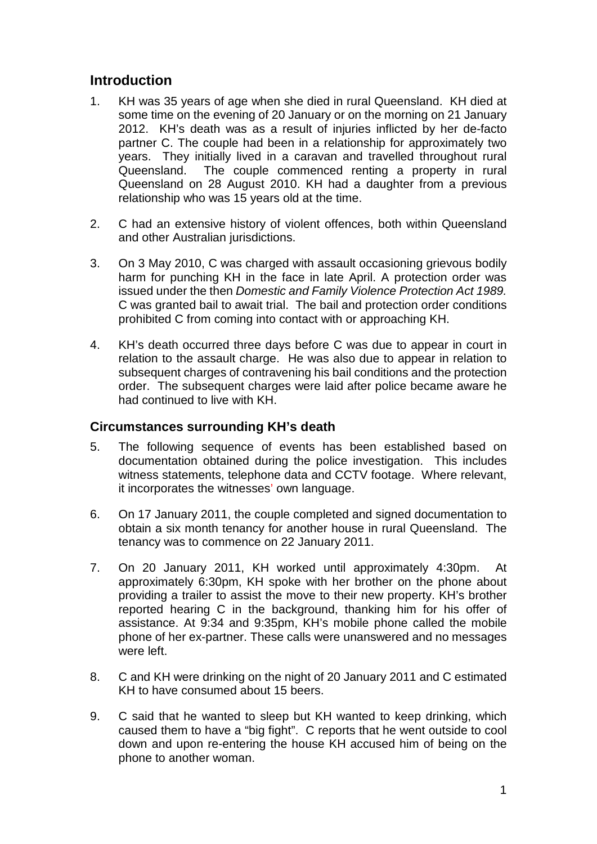### <span id="page-2-0"></span>**Introduction**

- 1. KH was 35 years of age when she died in rural Queensland. KH died at some time on the evening of 20 January or on the morning on 21 January 2012. KH's death was as a result of injuries inflicted by her de-facto partner C. The couple had been in a relationship for approximately two years. They initially lived in a caravan and travelled throughout rural Queensland. The couple commenced renting a property in rural Queensland on 28 August 2010. KH had a daughter from a previous relationship who was 15 years old at the time.
- 2. C had an extensive history of violent offences, both within Queensland and other Australian jurisdictions.
- 3. On 3 May 2010, C was charged with assault occasioning grievous bodily harm for punching KH in the face in late April. A protection order was issued under the then *Domestic and Family Violence Protection Act 1989.*  C was granted bail to await trial.The bail and protection order conditions prohibited C from coming into contact with or approaching KH.
- 4. KH's death occurred three days before C was due to appear in court in relation to the assault charge. He was also due to appear in relation to subsequent charges of contravening his bail conditions and the protection order. The subsequent charges were laid after police became aware he had continued to live with KH.

#### <span id="page-2-1"></span>**Circumstances surrounding KH's death**

- 5. The following sequence of events has been established based on documentation obtained during the police investigation. This includes witness statements, telephone data and CCTV footage. Where relevant, it incorporates the witnesses' own language.
- 6. On 17 January 2011, the couple completed and signed documentation to obtain a six month tenancy for another house in rural Queensland. The tenancy was to commence on 22 January 2011.
- 7. On 20 January 2011, KH worked until approximately 4:30pm. At approximately 6:30pm, KH spoke with her brother on the phone about providing a trailer to assist the move to their new property. KH's brother reported hearing C in the background, thanking him for his offer of assistance. At 9:34 and 9:35pm, KH's mobile phone called the mobile phone of her ex-partner. These calls were unanswered and no messages were left.
- 8. C and KH were drinking on the night of 20 January 2011 and C estimated KH to have consumed about 15 beers.
- 9. C said that he wanted to sleep but KH wanted to keep drinking, which caused them to have a "big fight". C reports that he went outside to cool down and upon re-entering the house KH accused him of being on the phone to another woman.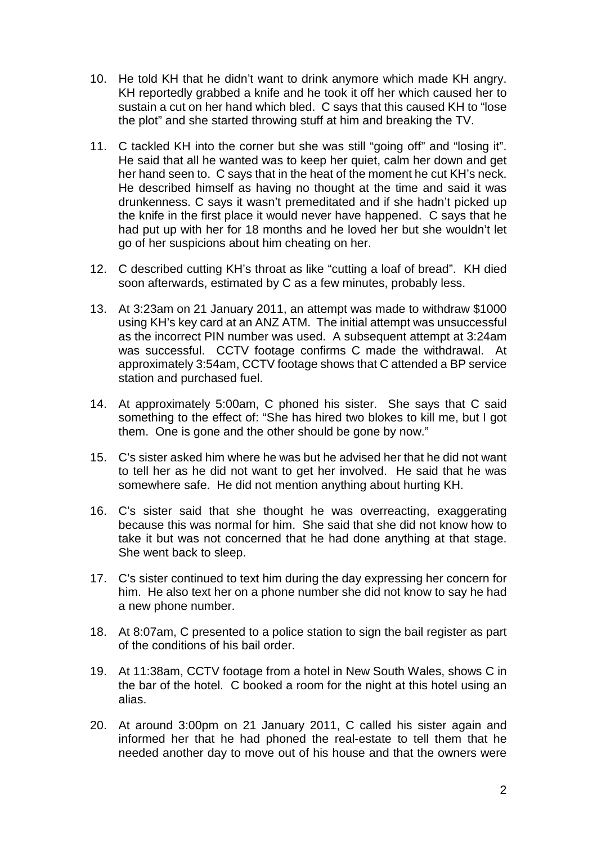- 10. He told KH that he didn't want to drink anymore which made KH angry. KH reportedly grabbed a knife and he took it off her which caused her to sustain a cut on her hand which bled. C says that this caused KH to "lose the plot" and she started throwing stuff at him and breaking the TV.
- 11. C tackled KH into the corner but she was still "going off" and "losing it". He said that all he wanted was to keep her quiet, calm her down and get her hand seen to. C says that in the heat of the moment he cut KH's neck. He described himself as having no thought at the time and said it was drunkenness. C says it wasn't premeditated and if she hadn't picked up the knife in the first place it would never have happened. C says that he had put up with her for 18 months and he loved her but she wouldn't let go of her suspicions about him cheating on her.
- 12. C described cutting KH's throat as like "cutting a loaf of bread". KH died soon afterwards, estimated by C as a few minutes, probably less.
- 13. At 3:23am on 21 January 2011, an attempt was made to withdraw \$1000 using KH's key card at an ANZ ATM. The initial attempt was unsuccessful as the incorrect PIN number was used. A subsequent attempt at 3:24am was successful. CCTV footage confirms C made the withdrawal. At approximately 3:54am, CCTV footage shows that C attended a BP service station and purchased fuel.
- 14. At approximately 5:00am, C phoned his sister. She says that C said something to the effect of: "She has hired two blokes to kill me, but I got them. One is gone and the other should be gone by now."
- 15. C's sister asked him where he was but he advised her that he did not want to tell her as he did not want to get her involved. He said that he was somewhere safe. He did not mention anything about hurting KH.
- 16. C's sister said that she thought he was overreacting, exaggerating because this was normal for him. She said that she did not know how to take it but was not concerned that he had done anything at that stage. She went back to sleep.
- 17. C's sister continued to text him during the day expressing her concern for him. He also text her on a phone number she did not know to say he had a new phone number.
- 18. At 8:07am, C presented to a police station to sign the bail register as part of the conditions of his bail order.
- 19. At 11:38am, CCTV footage from a hotel in New South Wales, shows C in the bar of the hotel. C booked a room for the night at this hotel using an alias.
- 20. At around 3:00pm on 21 January 2011, C called his sister again and informed her that he had phoned the real-estate to tell them that he needed another day to move out of his house and that the owners were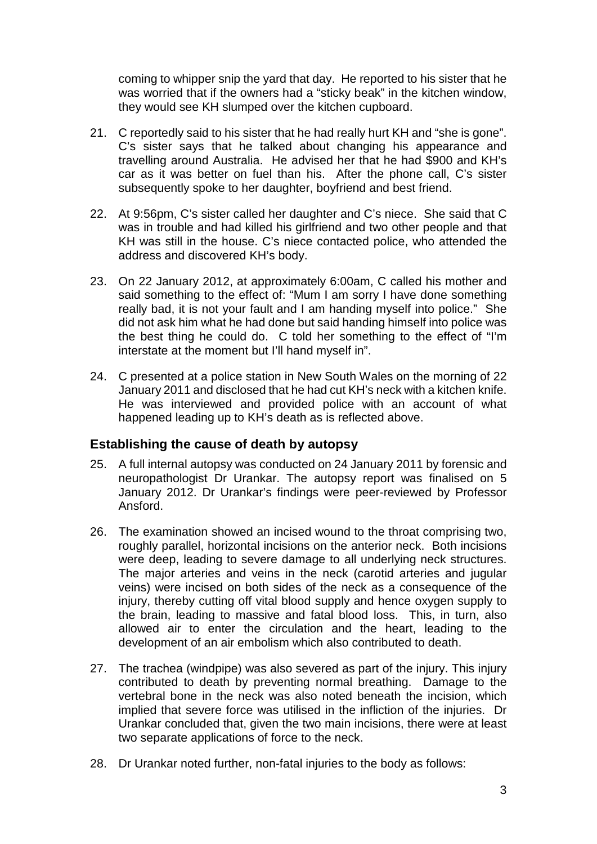coming to whipper snip the yard that day. He reported to his sister that he was worried that if the owners had a "sticky beak" in the kitchen window, they would see KH slumped over the kitchen cupboard.

- 21. C reportedly said to his sister that he had really hurt KH and "she is gone". C's sister says that he talked about changing his appearance and travelling around Australia. He advised her that he had \$900 and KH's car as it was better on fuel than his. After the phone call, C's sister subsequently spoke to her daughter, boyfriend and best friend.
- 22. At 9:56pm, C's sister called her daughter and C's niece. She said that C was in trouble and had killed his girlfriend and two other people and that KH was still in the house. C's niece contacted police, who attended the address and discovered KH's body.
- 23. On 22 January 2012, at approximately 6:00am, C called his mother and said something to the effect of: "Mum I am sorry I have done something really bad, it is not your fault and I am handing myself into police." She did not ask him what he had done but said handing himself into police was the best thing he could do. C told her something to the effect of "I'm interstate at the moment but I'll hand myself in".
- 24. C presented at a police station in New South Wales on the morning of 22 January 2011 and disclosed that he had cut KH's neck with a kitchen knife. He was interviewed and provided police with an account of what happened leading up to KH's death as is reflected above.

#### <span id="page-4-0"></span>**Establishing the cause of death by autopsy**

- 25. A full internal autopsy was conducted on 24 January 2011 by forensic and neuropathologist Dr Urankar. The autopsy report was finalised on 5 January 2012. Dr Urankar's findings were peer-reviewed by Professor Ansford.
- 26. The examination showed an incised wound to the throat comprising two, roughly parallel, horizontal incisions on the anterior neck. Both incisions were deep, leading to severe damage to all underlying neck structures. The major arteries and veins in the neck (carotid arteries and jugular veins) were incised on both sides of the neck as a consequence of the injury, thereby cutting off vital blood supply and hence oxygen supply to the brain, leading to massive and fatal blood loss. This, in turn, also allowed air to enter the circulation and the heart, leading to the development of an air embolism which also contributed to death.
- 27. The trachea (windpipe) was also severed as part of the injury. This injury contributed to death by preventing normal breathing. Damage to the vertebral bone in the neck was also noted beneath the incision, which implied that severe force was utilised in the infliction of the injuries. Dr Urankar concluded that, given the two main incisions, there were at least two separate applications of force to the neck.
- 28. Dr Urankar noted further, non-fatal injuries to the body as follows: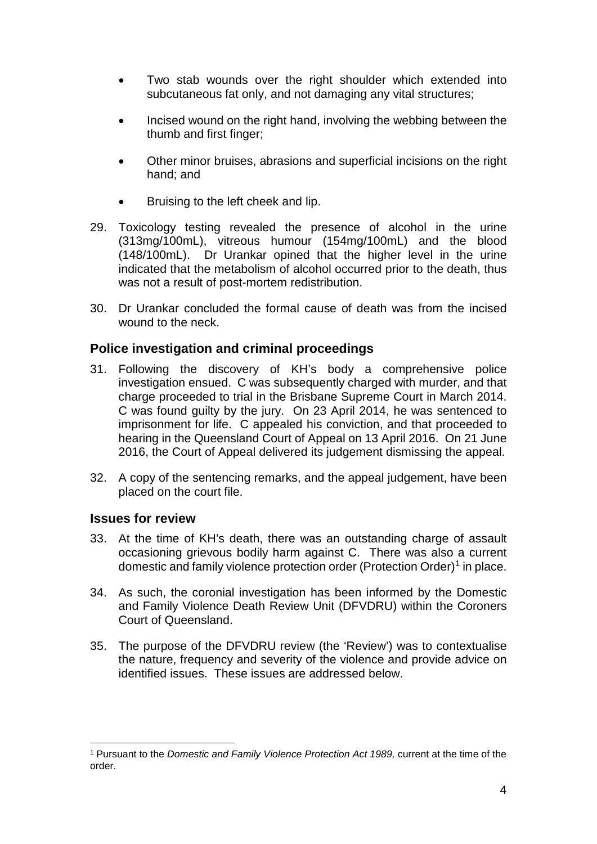- Two stab wounds over the right shoulder which extended into subcutaneous fat only, and not damaging any vital structures;
- Incised wound on the right hand, involving the webbing between the thumb and first finger;
- Other minor bruises, abrasions and superficial incisions on the right hand; and
- Bruising to the left cheek and lip.
- 29. Toxicology testing revealed the presence of alcohol in the urine (313mg/100mL), vitreous humour (154mg/100mL) and the blood (148/100mL). Dr Urankar opined that the higher level in the urine indicated that the metabolism of alcohol occurred prior to the death, thus was not a result of post-mortem redistribution.
- 30. Dr Urankar concluded the formal cause of death was from the incised wound to the neck.

#### <span id="page-5-0"></span>**Police investigation and criminal proceedings**

- 31. Following the discovery of KH's body a comprehensive police investigation ensued. C was subsequently charged with murder, and that charge proceeded to trial in the Brisbane Supreme Court in March 2014. C was found guilty by the jury. On 23 April 2014, he was sentenced to imprisonment for life. C appealed his conviction, and that proceeded to hearing in the Queensland Court of Appeal on 13 April 2016. On 21 June 2016, the Court of Appeal delivered its judgement dismissing the appeal.
- 32. A copy of the sentencing remarks, and the appeal judgement, have been placed on the court file.

#### <span id="page-5-1"></span>**Issues for review**

- 33. At the time of KH's death, there was an outstanding charge of assault occasioning grievous bodily harm against C. There was also a current domestic and family violence protection order (Protection Order)<sup>[1](#page-5-2)</sup> in place.
- 34. As such, the coronial investigation has been informed by the Domestic and Family Violence Death Review Unit (DFVDRU) within the Coroners Court of Queensland.
- 35. The purpose of the DFVDRU review (the 'Review') was to contextualise the nature, frequency and severity of the violence and provide advice on identified issues. These issues are addressed below.

<span id="page-5-2"></span><sup>1</sup> Pursuant to the *Domestic and Family Violence Protection Act 1989,* current at the time of the order.  $\overline{a}$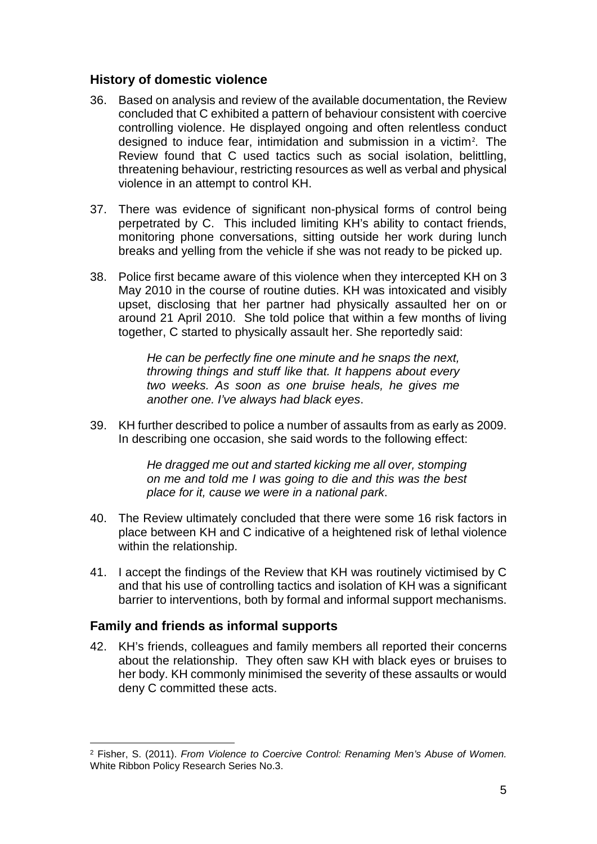#### <span id="page-6-0"></span>**History of domestic violence**

- 36. Based on analysis and review of the available documentation, the Review concluded that C exhibited a pattern of behaviour consistent with coercive controlling violence. He displayed ongoing and often relentless conduct designed to induce fear, intimidation and submission in a victim<sup>[2](#page-6-2)</sup>. The Review found that C used tactics such as social isolation, belittling, threatening behaviour, restricting resources as well as verbal and physical violence in an attempt to control KH.
- 37. There was evidence of significant non-physical forms of control being perpetrated by C. This included limiting KH's ability to contact friends, monitoring phone conversations, sitting outside her work during lunch breaks and yelling from the vehicle if she was not ready to be picked up.
- 38. Police first became aware of this violence when they intercepted KH on 3 May 2010 in the course of routine duties. KH was intoxicated and visibly upset, disclosing that her partner had physically assaulted her on or around 21 April 2010. She told police that within a few months of living together, C started to physically assault her. She reportedly said:

*He can be perfectly fine one minute and he snaps the next, throwing things and stuff like that. It happens about every two weeks. As soon as one bruise heals, he gives me another one. I've always had black eyes*.

39. KH further described to police a number of assaults from as early as 2009. In describing one occasion, she said words to the following effect:

> *He dragged me out and started kicking me all over, stomping on me and told me I was going to die and this was the best place for it, cause we were in a national park*.

- 40. The Review ultimately concluded that there were some 16 risk factors in place between KH and C indicative of a heightened risk of lethal violence within the relationship.
- 41. I accept the findings of the Review that KH was routinely victimised by C and that his use of controlling tactics and isolation of KH was a significant barrier to interventions, both by formal and informal support mechanisms.

#### <span id="page-6-1"></span>**Family and friends as informal supports**

42. KH's friends, colleagues and family members all reported their concerns about the relationship. They often saw KH with black eyes or bruises to her body. KH commonly minimised the severity of these assaults or would deny C committed these acts.

<span id="page-6-2"></span><sup>2</sup> Fisher, S. (2011). *From Violence to Coercive Control: Renaming Men's Abuse of Women.*  White Ribbon Policy Research Series No.3.  $\overline{a}$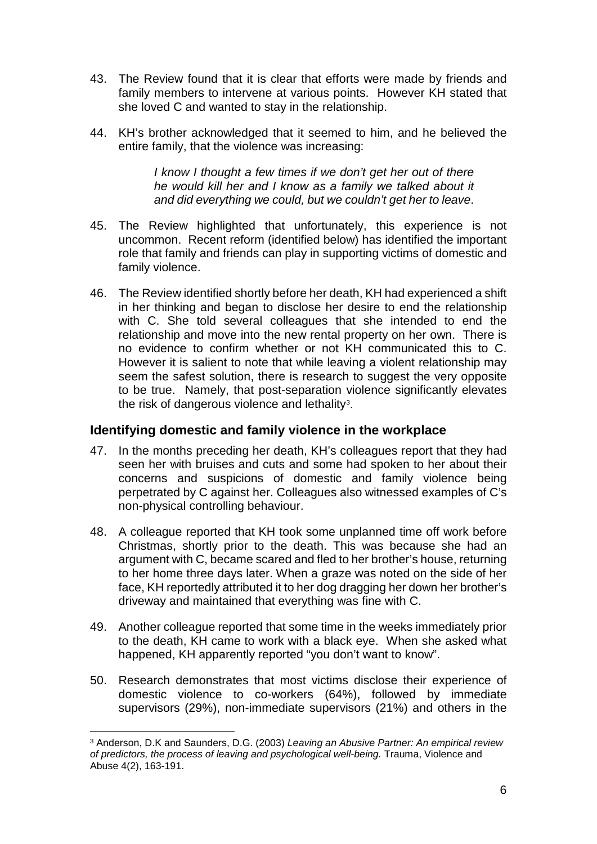- 43. The Review found that it is clear that efforts were made by friends and family members to intervene at various points. However KH stated that she loved C and wanted to stay in the relationship.
- 44. KH's brother acknowledged that it seemed to him, and he believed the entire family, that the violence was increasing:

*I know I thought a few times if we don't get her out of there he would kill her and I know as a family we talked about it and did everything we could, but we couldn't get her to leave*.

- 45. The Review highlighted that unfortunately, this experience is not uncommon. Recent reform (identified below) has identified the important role that family and friends can play in supporting victims of domestic and family violence.
- 46. The Review identified shortly before her death, KH had experienced a shift in her thinking and began to disclose her desire to end the relationship with C. She told several colleagues that she intended to end the relationship and move into the new rental property on her own. There is no evidence to confirm whether or not KH communicated this to C. However it is salient to note that while leaving a violent relationship may seem the safest solution, there is research to suggest the very opposite to be true. Namely, that post-separation violence significantly elevates the risk of dangerous violence and lethality<sup>[3](#page-7-1)</sup>.

#### <span id="page-7-0"></span>**Identifying domestic and family violence in the workplace**

- 47. In the months preceding her death, KH's colleagues report that they had seen her with bruises and cuts and some had spoken to her about their concerns and suspicions of domestic and family violence being perpetrated by C against her. Colleagues also witnessed examples of C's non-physical controlling behaviour.
- 48. A colleague reported that KH took some unplanned time off work before Christmas, shortly prior to the death. This was because she had an argument with C, became scared and fled to her brother's house, returning to her home three days later. When a graze was noted on the side of her face, KH reportedly attributed it to her dog dragging her down her brother's driveway and maintained that everything was fine with C.
- 49. Another colleague reported that some time in the weeks immediately prior to the death, KH came to work with a black eye. When she asked what happened, KH apparently reported "you don't want to know".
- 50. Research demonstrates that most victims disclose their experience of domestic violence to co-workers (64%), followed by immediate supervisors (29%), non-immediate supervisors (21%) and others in the

<span id="page-7-1"></span><sup>3</sup> Anderson, D.K and Saunders, D.G. (2003) *Leaving an Abusive Partner: An empirical review of predictors, the process of leaving and psychological well-being.* Trauma, Violence and Abuse 4(2), 163-191.  $\overline{a}$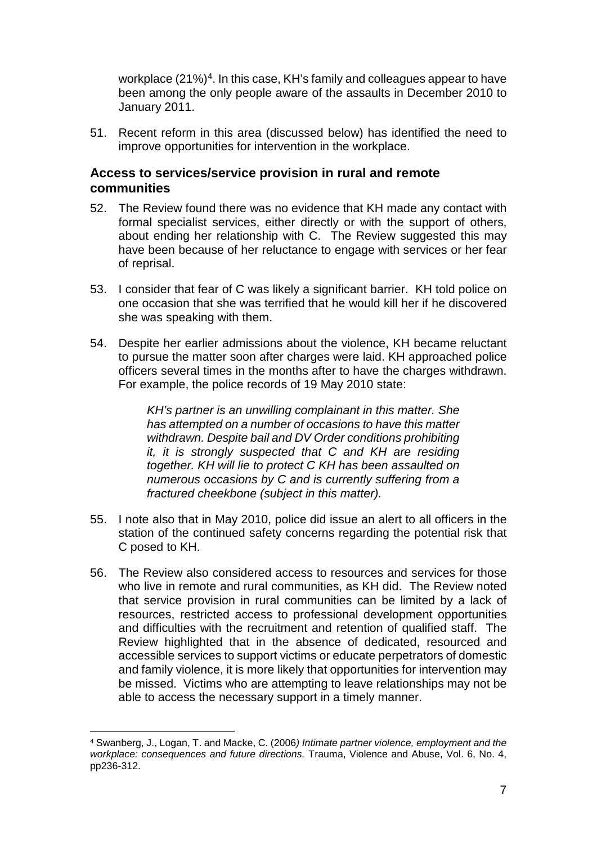workplace  $(21\%)^4$ . In this case, KH's family and colleagues appear to have been among the only people aware of the assaults in December 2010 to January 2011.

51. Recent reform in this area (discussed below) has identified the need to improve opportunities for intervention in the workplace.

#### <span id="page-8-0"></span>**Access to services/service provision in rural and remote communities**

- 52. The Review found there was no evidence that KH made any contact with formal specialist services, either directly or with the support of others, about ending her relationship with C. The Review suggested this may have been because of her reluctance to engage with services or her fear of reprisal.
- 53. I consider that fear of C was likely a significant barrier. KH told police on one occasion that she was terrified that he would kill her if he discovered she was speaking with them.
- 54. Despite her earlier admissions about the violence, KH became reluctant to pursue the matter soon after charges were laid. KH approached police officers several times in the months after to have the charges withdrawn. For example, the police records of 19 May 2010 state:

*KH's partner is an unwilling complainant in this matter. She has attempted on a number of occasions to have this matter withdrawn. Despite bail and DV Order conditions prohibiting it, it is strongly suspected that C and KH are residing together. KH will lie to protect C KH has been assaulted on numerous occasions by C and is currently suffering from a fractured cheekbone (subject in this matter).*

- 55. I note also that in May 2010, police did issue an alert to all officers in the station of the continued safety concerns regarding the potential risk that C posed to KH.
- 56. The Review also considered access to resources and services for those who live in remote and rural communities, as KH did. The Review noted that service provision in rural communities can be limited by a lack of resources, restricted access to professional development opportunities and difficulties with the recruitment and retention of qualified staff. The Review highlighted that in the absence of dedicated, resourced and accessible services to support victims or educate perpetrators of domestic and family violence, it is more likely that opportunities for intervention may be missed. Victims who are attempting to leave relationships may not be able to access the necessary support in a timely manner.

<span id="page-8-1"></span><sup>4</sup> Swanberg, J., Logan, T. and Macke, C. (2006*) Intimate partner violence, employment and the workplace: consequences and future directions.* Trauma, Violence and Abuse, Vol. 6, No. 4, pp236-312.  $\overline{a}$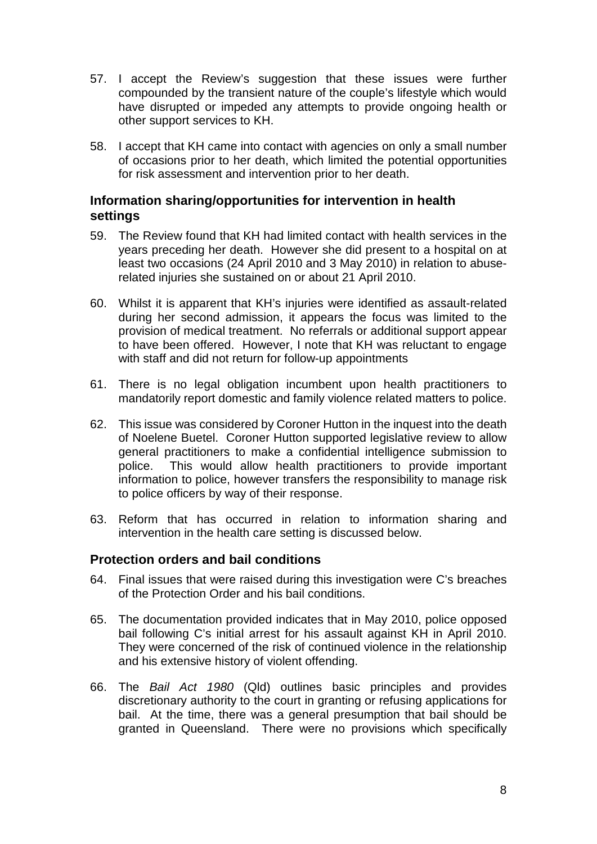- 57. I accept the Review's suggestion that these issues were further compounded by the transient nature of the couple's lifestyle which would have disrupted or impeded any attempts to provide ongoing health or other support services to KH.
- 58. I accept that KH came into contact with agencies on only a small number of occasions prior to her death, which limited the potential opportunities for risk assessment and intervention prior to her death.

#### <span id="page-9-0"></span>**Information sharing/opportunities for intervention in health settings**

- 59. The Review found that KH had limited contact with health services in the years preceding her death. However she did present to a hospital on at least two occasions (24 April 2010 and 3 May 2010) in relation to abuserelated injuries she sustained on or about 21 April 2010.
- 60. Whilst it is apparent that KH's injuries were identified as assault-related during her second admission, it appears the focus was limited to the provision of medical treatment. No referrals or additional support appear to have been offered. However, I note that KH was reluctant to engage with staff and did not return for follow-up appointments
- 61. There is no legal obligation incumbent upon health practitioners to mandatorily report domestic and family violence related matters to police.
- 62. This issue was considered by Coroner Hutton in the inquest into the death of Noelene Buetel. Coroner Hutton supported legislative review to allow general practitioners to make a confidential intelligence submission to police. This would allow health practitioners to provide important information to police, however transfers the responsibility to manage risk to police officers by way of their response.
- 63. Reform that has occurred in relation to information sharing and intervention in the health care setting is discussed below.

#### <span id="page-9-1"></span>**Protection orders and bail conditions**

- 64. Final issues that were raised during this investigation were C's breaches of the Protection Order and his bail conditions.
- 65. The documentation provided indicates that in May 2010, police opposed bail following C's initial arrest for his assault against KH in April 2010. They were concerned of the risk of continued violence in the relationship and his extensive history of violent offending.
- 66. The *Bail Act 1980* (Qld) outlines basic principles and provides discretionary authority to the court in granting or refusing applications for bail. At the time, there was a general presumption that bail should be granted in Queensland. There were no provisions which specifically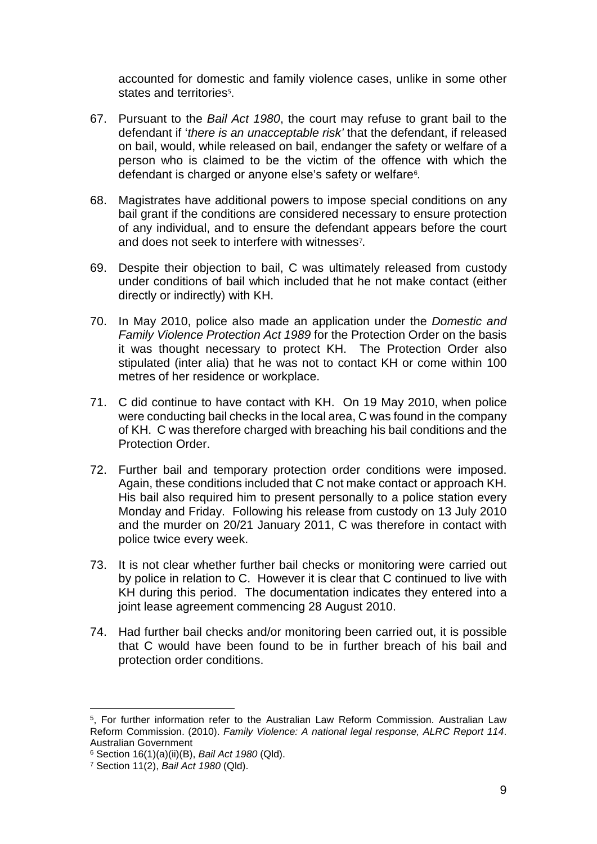accounted for domestic and family violence cases, unlike in some other states and territories<sup>[5](#page-10-0)</sup>.

- 67. Pursuant to the *Bail Act 1980*, the court may refuse to grant bail to the defendant if '*there is an unacceptable risk'* that the defendant, if released on bail, would, while released on bail, endanger the safety or welfare of a person who is claimed to be the victim of the offence with which the defendant is charged or anyone else's safety or welfare<sup>[6](#page-10-1)</sup>.
- 68. Magistrates have additional powers to impose special conditions on any bail grant if the conditions are considered necessary to ensure protection of any individual, and to ensure the defendant appears before the court and does not seek to interfere with witnesses[7](#page-10-2).
- 69. Despite their objection to bail, C was ultimately released from custody under conditions of bail which included that he not make contact (either directly or indirectly) with KH.
- 70. In May 2010, police also made an application under the *Domestic and Family Violence Protection Act 1989* for the Protection Order on the basis it was thought necessary to protect KH. The Protection Order also stipulated (inter alia) that he was not to contact KH or come within 100 metres of her residence or workplace.
- 71. C did continue to have contact with KH. On 19 May 2010, when police were conducting bail checks in the local area, C was found in the company of KH. C was therefore charged with breaching his bail conditions and the Protection Order.
- 72. Further bail and temporary protection order conditions were imposed. Again, these conditions included that C not make contact or approach KH. His bail also required him to present personally to a police station every Monday and Friday. Following his release from custody on 13 July 2010 and the murder on 20/21 January 2011, C was therefore in contact with police twice every week.
- 73. It is not clear whether further bail checks or monitoring were carried out by police in relation to C. However it is clear that C continued to live with KH during this period. The documentation indicates they entered into a joint lease agreement commencing 28 August 2010.
- 74. Had further bail checks and/or monitoring been carried out, it is possible that C would have been found to be in further breach of his bail and protection order conditions.

 $\overline{a}$ 

<span id="page-10-0"></span><sup>5,</sup> For further information refer to the Australian Law Reform Commission. Australian Law Reform Commission. (2010). *Family Violence: A national legal response, ALRC Report 114*. Australian Government

<span id="page-10-1"></span><sup>6</sup> Section 16(1)(a)(ii)(B), *Bail Act 1980* (Qld).

<span id="page-10-2"></span><sup>7</sup> Section 11(2), *Bail Act 1980* (Qld).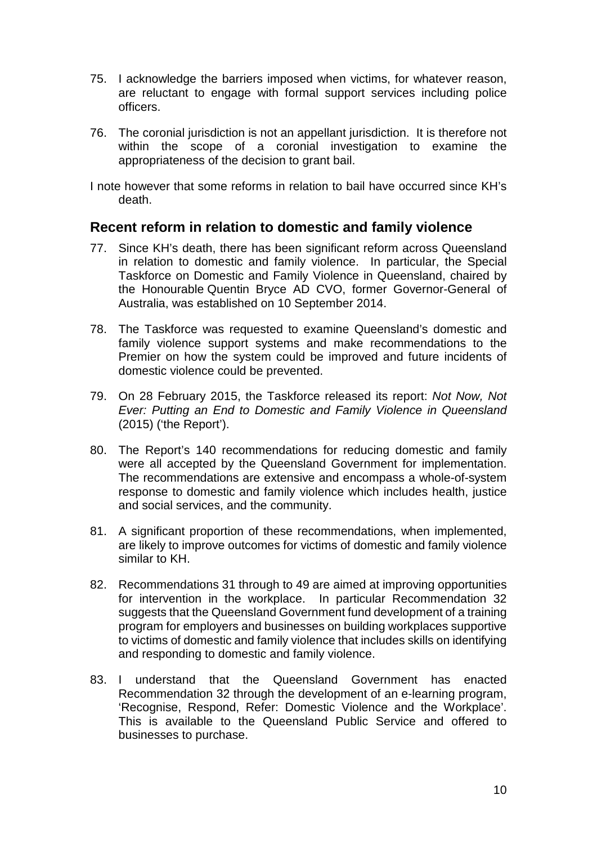- 75. I acknowledge the barriers imposed when victims, for whatever reason, are reluctant to engage with formal support services including police officers.
- 76. The coronial jurisdiction is not an appellant jurisdiction. It is therefore not within the scope of a coronial investigation to examine the appropriateness of the decision to grant bail.

I note however that some reforms in relation to bail have occurred since KH's death.

#### <span id="page-11-0"></span>**Recent reform in relation to domestic and family violence**

- 77. Since KH's death, there has been significant reform across Queensland in relation to domestic and family violence. In particular, the Special Taskforce on Domestic and Family Violence in Queensland, chaired by the Honourable Quentin Bryce AD CVO, former Governor-General of Australia, was established on 10 September 2014.
- 78. The Taskforce was requested to examine Queensland's domestic and family violence support systems and make recommendations to the Premier on how the system could be improved and future incidents of domestic violence could be prevented.
- 79. On 28 February 2015, the Taskforce released its report: *Not Now, Not Ever: Putting an End to Domestic and Family Violence in Queensland* (2015) ('the Report').
- 80. The Report's 140 recommendations for reducing domestic and family were all accepted by the Queensland Government for implementation. The recommendations are extensive and encompass a whole-of-system response to domestic and family violence which includes health, justice and social services, and the community.
- 81. A significant proportion of these recommendations, when implemented, are likely to improve outcomes for victims of domestic and family violence similar to KH.
- 82. Recommendations 31 through to 49 are aimed at improving opportunities for intervention in the workplace. In particular Recommendation 32 suggests that the Queensland Government fund development of a training program for employers and businesses on building workplaces supportive to victims of domestic and family violence that includes skills on identifying and responding to domestic and family violence.
- 83. I understand that the Queensland Government has enacted Recommendation 32 through the development of an e-learning program, 'Recognise, Respond, Refer: Domestic Violence and the Workplace'. This is available to the Queensland Public Service and offered to businesses to purchase.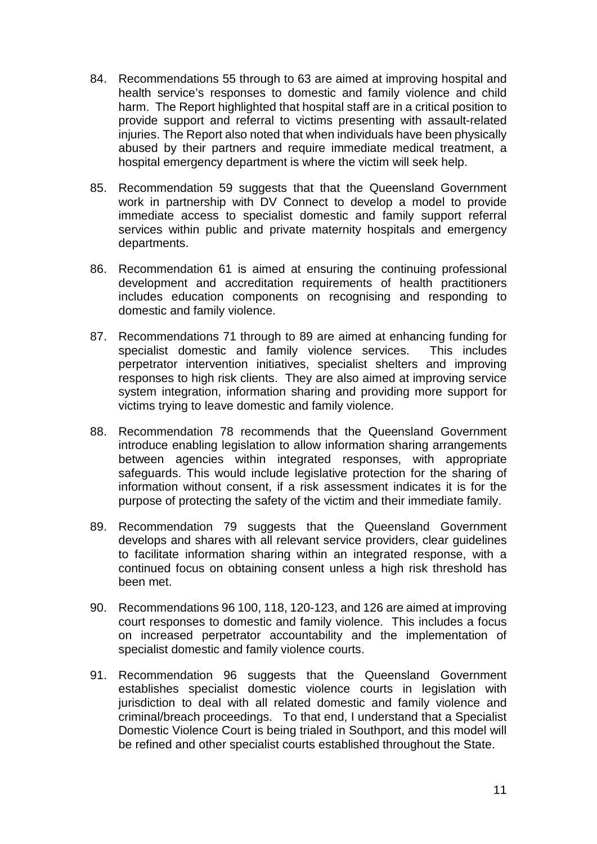- 84. Recommendations 55 through to 63 are aimed at improving hospital and health service's responses to domestic and family violence and child harm. The Report highlighted that hospital staff are in a critical position to provide support and referral to victims presenting with assault-related injuries. The Report also noted that when individuals have been physically abused by their partners and require immediate medical treatment, a hospital emergency department is where the victim will seek help.
- 85. Recommendation 59 suggests that that the Queensland Government work in partnership with DV Connect to develop a model to provide immediate access to specialist domestic and family support referral services within public and private maternity hospitals and emergency departments.
- 86. Recommendation 61 is aimed at ensuring the continuing professional development and accreditation requirements of health practitioners includes education components on recognising and responding to domestic and family violence.
- 87. Recommendations 71 through to 89 are aimed at enhancing funding for specialist domestic and family violence services. This includes perpetrator intervention initiatives, specialist shelters and improving responses to high risk clients. They are also aimed at improving service system integration, information sharing and providing more support for victims trying to leave domestic and family violence.
- 88. Recommendation 78 recommends that the Queensland Government introduce enabling legislation to allow information sharing arrangements between agencies within integrated responses, with appropriate safeguards. This would include legislative protection for the sharing of information without consent, if a risk assessment indicates it is for the purpose of protecting the safety of the victim and their immediate family.
- 89. Recommendation 79 suggests that the Queensland Government develops and shares with all relevant service providers, clear guidelines to facilitate information sharing within an integrated response, with a continued focus on obtaining consent unless a high risk threshold has been met.
- 90. Recommendations 96 100, 118, 120-123, and 126 are aimed at improving court responses to domestic and family violence. This includes a focus on increased perpetrator accountability and the implementation of specialist domestic and family violence courts.
- 91. Recommendation 96 suggests that the Queensland Government establishes specialist domestic violence courts in legislation with jurisdiction to deal with all related domestic and family violence and criminal/breach proceedings. To that end, I understand that a Specialist Domestic Violence Court is being trialed in Southport, and this model will be refined and other specialist courts established throughout the State.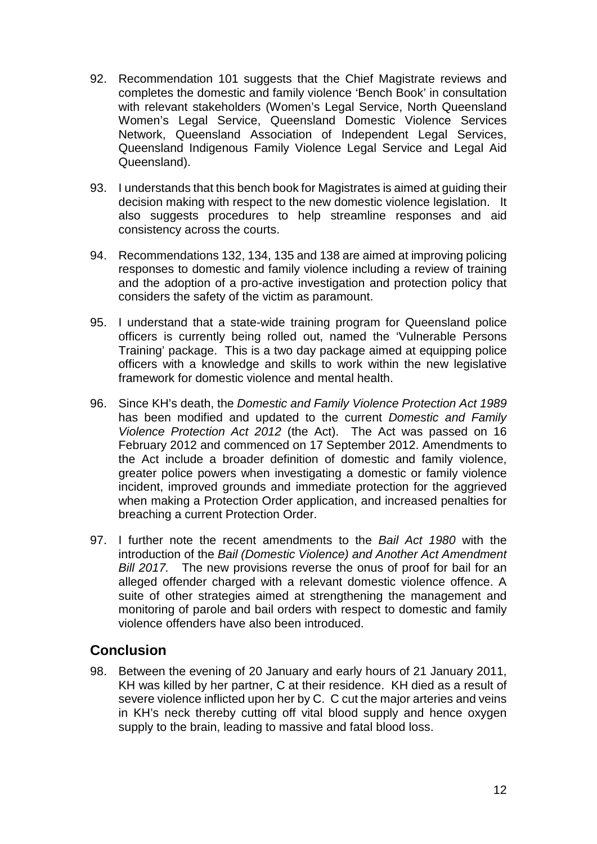- 92. Recommendation 101 suggests that the Chief Magistrate reviews and completes the domestic and family violence 'Bench Book' in consultation with relevant stakeholders (Women's Legal Service, North Queensland Women's Legal Service, Queensland Domestic Violence Services Network, Queensland Association of Independent Legal Services, Queensland Indigenous Family Violence Legal Service and Legal Aid Queensland).
- 93. I understands that this bench book for Magistrates is aimed at guiding their decision making with respect to the new domestic violence legislation. It also suggests procedures to help streamline responses and aid consistency across the courts.
- 94. Recommendations 132, 134, 135 and 138 are aimed at improving policing responses to domestic and family violence including a review of training and the adoption of a pro-active investigation and protection policy that considers the safety of the victim as paramount.
- 95. I understand that a state-wide training program for Queensland police officers is currently being rolled out, named the 'Vulnerable Persons Training' package. This is a two day package aimed at equipping police officers with a knowledge and skills to work within the new legislative framework for domestic violence and mental health.
- 96. Since KH's death, the *Domestic and Family Violence Protection Act 1989* has been modified and updated to the current *Domestic and Family Violence Protection Act 2012* (the Act). The Act was passed on 16 February 2012 and commenced on 17 September 2012. Amendments to the Act include a broader definition of domestic and family violence, greater police powers when investigating a domestic or family violence incident, improved grounds and immediate protection for the aggrieved when making a Protection Order application, and increased penalties for breaching a current Protection Order.
- 97. I further note the recent amendments to the *Bail Act 1980* with the introduction of the *Bail (Domestic Violence) and Another Act Amendment Bill 2017.* The new provisions reverse the onus of proof for bail for an alleged offender charged with a relevant domestic violence offence. A suite of other strategies aimed at strengthening the management and monitoring of parole and bail orders with respect to domestic and family violence offenders have also been introduced.

### <span id="page-13-0"></span>**Conclusion**

98. Between the evening of 20 January and early hours of 21 January 2011, KH was killed by her partner, C at their residence. KH died as a result of severe violence inflicted upon her by C. C cut the major arteries and veins in KH's neck thereby cutting off vital blood supply and hence oxygen supply to the brain, leading to massive and fatal blood loss.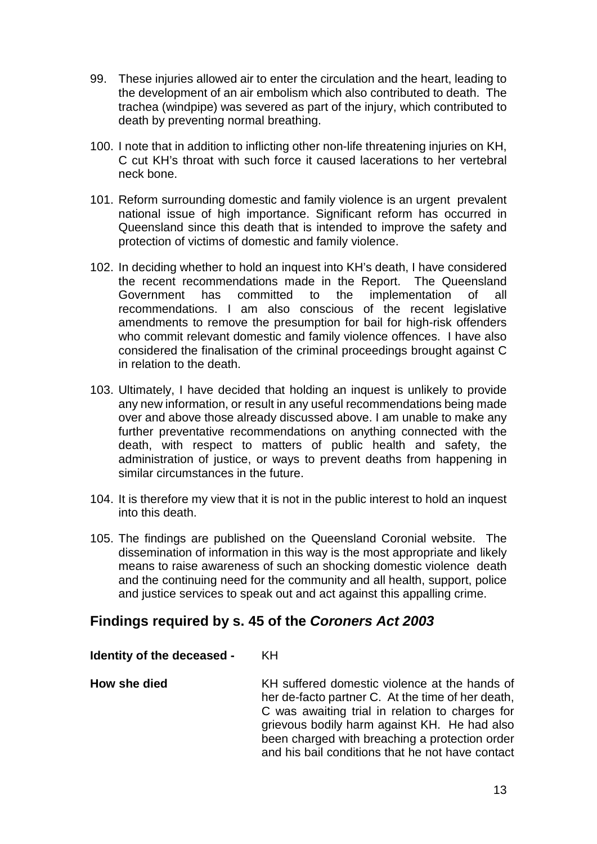- 99. These injuries allowed air to enter the circulation and the heart, leading to the development of an air embolism which also contributed to death. The trachea (windpipe) was severed as part of the injury, which contributed to death by preventing normal breathing.
- 100. I note that in addition to inflicting other non-life threatening injuries on KH, C cut KH's throat with such force it caused lacerations to her vertebral neck bone.
- 101. Reform surrounding domestic and family violence is an urgent prevalent national issue of high importance. Significant reform has occurred in Queensland since this death that is intended to improve the safety and protection of victims of domestic and family violence.
- 102. In deciding whether to hold an inquest into KH's death, I have considered the recent recommendations made in the Report. The Queensland Government has committed to the implementation of all recommendations. I am also conscious of the recent legislative amendments to remove the presumption for bail for high-risk offenders who commit relevant domestic and family violence offences. I have also considered the finalisation of the criminal proceedings brought against C in relation to the death.
- 103. Ultimately, I have decided that holding an inquest is unlikely to provide any new information, or result in any useful recommendations being made over and above those already discussed above. I am unable to make any further preventative recommendations on anything connected with the death, with respect to matters of public health and safety, the administration of justice, or ways to prevent deaths from happening in similar circumstances in the future.
- 104. It is therefore my view that it is not in the public interest to hold an inquest into this death.
- 105. The findings are published on the Queensland Coronial website. The dissemination of information in this way is the most appropriate and likely means to raise awareness of such an shocking domestic violence death and the continuing need for the community and all health, support, police and justice services to speak out and act against this appalling crime.

## **Findings required by s. 45 of the** *Coroners Act 2003*

#### **Identity of the deceased -** KH

**How she died** KH suffered domestic violence at the hands of her de-facto partner C.At the time of her death, C was awaiting trial in relation to charges for grievous bodily harm against KH. He had also been charged with breaching a protection order and his bail conditions that he not have contact